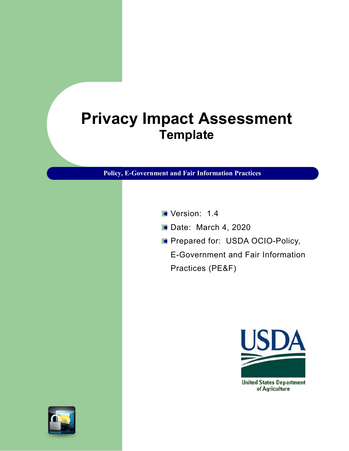# **Privacy Impact Assessment Template**

**Policy, E-Government and Fair Information Practices**

- Version: 1.4
- **Date: March 4, 2020**
- **Prepared for: USDA OCIO-Policy,**

E-Government and Fair Information Practices (PE&F)

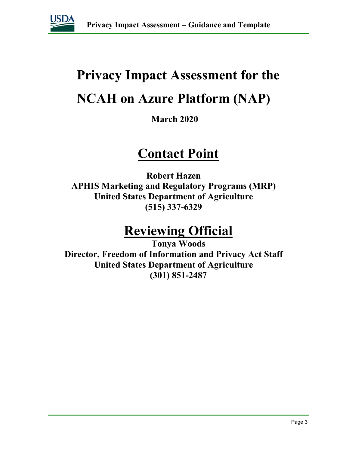

# **Privacy Impact Assessment for the NCAH on Azure Platform (NAP)**

# **March 2020**

# **Contact Point**

**Robert Hazen APHIS Marketing and Regulatory Programs (MRP) United States Department of Agriculture (515) 337-6329**

# **Reviewing Official**

**Tonya Woods Director, Freedom of Information and Privacy Act Staff United States Department of Agriculture (301) 851-2487**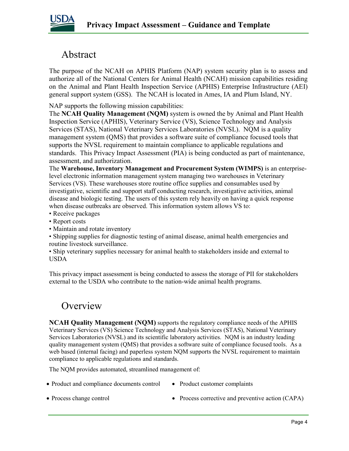

# Abstract

The purpose of the NCAH on APHIS Platform (NAP) system security plan is to assess and authorize all of the National Centers for Animal Health (NCAH) mission capabilities residing on the Animal and Plant Health Inspection Service (APHIS) Enterprise Infrastructure (AEI) general support system (GSS). The NCAH is located in Ames, IA and Plum Island, NY.

NAP supports the following mission capabilities:

The **NCAH Quality Management (NQM)** system is owned the by Animal and Plant Health Inspection Service (APHIS), Veterinary Service (VS), Science Technology and Analysis Services (STAS), National Veterinary Services Laboratories (NVSL). NQM is a quality management system (QMS) that provides a software suite of compliance focused tools that supports the NVSL requirement to maintain compliance to applicable regulations and standards. This Privacy Impact Assessment (PIA) is being conducted as part of maintenance, assessment, and authorization.

The **Warehouse, Inventory Management and Procurement System (WIMPS)** is an enterpriselevel electronic information management system managing two warehouses in Veterinary Services (VS). These warehouses store routine office supplies and consumables used by investigative, scientific and support staff conducting research, investigative activities, animal disease and biologic testing. The users of this system rely heavily on having a quick response when disease outbreaks are observed. This information system allows VS to:

- Receive packages
- Report costs
- Maintain and rotate inventory

• Shipping supplies for diagnostic testing of animal disease, animal health emergencies and routine livestock surveillance.

• Ship veterinary supplies necessary for animal health to stakeholders inside and external to USDA

This privacy impact assessment is being conducted to assess the storage of PII for stakeholders external to the USDA who contribute to the nation-wide animal health programs.

# **Overview**

**NCAH Quality Management (NQM)** supports the regulatory compliance needs of the APHIS Veterinary Services (VS) Science Technology and Analysis Services (STAS), National Veterinary Services Laboratories (NVSL) and its scientific laboratory activities. NQM is an industry leading quality management system (QMS) that provides a software suite of compliance focused tools. As a web based (internal facing) and paperless system NQM supports the NVSL requirement to maintain compliance to applicable regulations and standards.

The NQM provides automated, streamlined management of:

- Product and compliance documents control Product customer complaints
	-

- 
- Process change control Process corrective and preventive action (CAPA)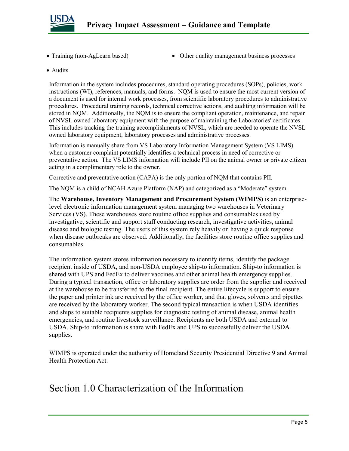

- 
- Training (non-AgLearn based) Other quality management business processes
- Audits

Information in the system includes procedures, standard operating procedures (SOPs), policies, work instructions (WI), references, manuals, and forms. NQM is used to ensure the most current version of a document is used for internal work processes, from scientific laboratory procedures to administrative procedures. Procedural training records, technical corrective actions, and auditing information will be stored in NQM. Additionally, the NQM is to ensure the compliant operation, maintenance, and repair of NVSL owned laboratory equipment with the purpose of maintaining the Laboratories' certificates. This includes tracking the training accomplishments of NVSL, which are needed to operate the NVSL owned laboratory equipment, laboratory processes and administrative processes.

Information is manually share from VS Laboratory Information Management System (VS LIMS) when a customer complaint potentially identifies a technical process in need of corrective or preventative action. The VS LIMS information will include PII on the animal owner or private citizen acting in a complimentary role to the owner.

Corrective and preventative action (CAPA) is the only portion of NQM that contains PII.

The NQM is a child of NCAH Azure Platform (NAP) and categorized as a "Moderate" system.

The **Warehouse, Inventory Management and Procurement System (WIMPS)** is an enterpriselevel electronic information management system managing two warehouses in Veterinary Services (VS). These warehouses store routine office supplies and consumables used by investigative, scientific and support staff conducting research, investigative activities, animal disease and biologic testing. The users of this system rely heavily on having a quick response when disease outbreaks are observed. Additionally, the facilities store routine office supplies and consumables.

The information system stores information necessary to identify items, identify the package recipient inside of USDA, and non-USDA employee ship-to information. Ship-to information is shared with UPS and FedEx to deliver vaccines and other animal health emergency supplies. During a typical transaction, office or laboratory supplies are order from the supplier and received at the warehouse to be transferred to the final recipient. The entire lifecycle is support to ensure the paper and printer ink are received by the office worker, and that gloves, solvents and pipettes are received by the laboratory worker. The second typical transaction is when USDA identifies and ships to suitable recipients supplies for diagnostic testing of animal disease, animal health emergencies, and routine livestock surveillance. Recipients are both USDA and external to USDA. Ship-to information is share with FedEx and UPS to successfully deliver the USDA supplies.

WIMPS is operated under the authority of Homeland Security Presidential Directive 9 and Animal Health Protection Act.

# Section 1.0 Characterization of the Information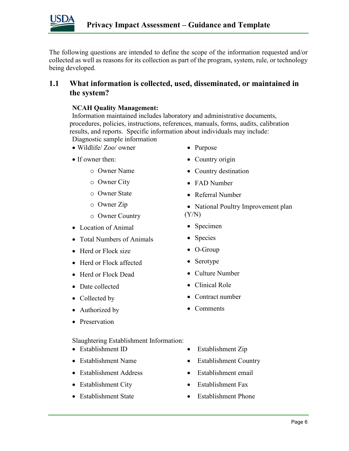

The following questions are intended to define the scope of the information requested and/or collected as well as reasons for its collection as part of the program, system, rule, or technology being developed.

# **1.1 What information is collected, used, disseminated, or maintained in the system?**

#### **NCAH Quality Management:**

Information maintained includes laboratory and administrative documents, procedures, policies, instructions, references, manuals, forms, audits, calibration results, and reports. Specific information about individuals may include: Diagnostic sample information

- Wildlife/ Zoo/ owner
- If owner then:
	- o Owner Name
	- o Owner City
	- o Owner State
	- o Owner Zip
	- o Owner Country
- Location of Animal
- Total Numbers of Animals
- Herd or Flock size
- Herd or Flock affected
- Herd or Flock Dead
- Date collected
- Collected by
- Authorized by
- Preservation

#### Slaughtering Establishment Information:

- Establishment ID
- Establishment Name
- Establishment Address
- Establishment City
- Establishment State
- Purpose
- Country origin
- Country destination
- 
- Referral Number
- National Poultry Improvement plan (Y/N)
- Specimen
- Species
- O-Group
- Serotype
- Culture Number
- Clinical Role
- Contract number
- Comments
- Establishment Zip
- Establishment Country
- Establishment email
- Establishment Fax
- Establishment Phone
- -
	- FAD Number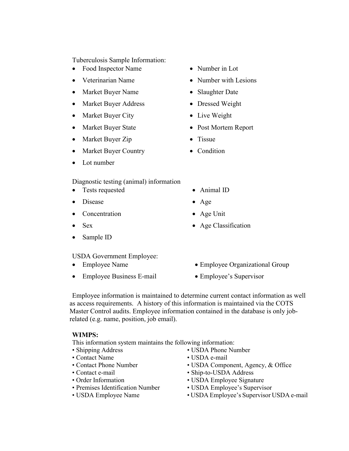Tuberculosis Sample Information:

- Food Inspector Name
- Veterinarian Name
- Market Buyer Name
- Market Buyer Address
- Market Buyer City
- Market Buyer State
- Market Buyer Zip
- Market Buyer Country
- Lot number

Diagnostic testing (animal) information

- Tests requested
- Disease
- Concentration
- Sex
- Sample ID

USDA Government Employee:

- Employee Name
- Employee Business E-mail
- Number in Lot
- Number with Lesions
- Slaughter Date
- Dressed Weight
- Live Weight
- Post Mortem Report
- Tissue
- Condition
- Animal ID
- Age
- Age Unit
- Age Classification
- Employee Organizational Group
- Employee's Supervisor

Employee information is maintained to determine current contact information as well as access requirements. A history of this information is maintained via the COTS Master Control audits. Employee information contained in the database is only jobrelated (e.g. name, position, job email).

#### **WIMPS:**

This information system maintains the following information:

- Shipping Address
- Contact Name
- Contact Phone Number
- Contact e-mail
- Order Information
- Premises Identification Number
- USDA Employee Name
- USDA Phone Number
- USDA e-mail
- USDA Component, Agency, & Office
- Ship-to-USDA Address
- USDA Employee Signature
- USDA Employee's Supervisor
- USDA Employee's Supervisor USDA e-mail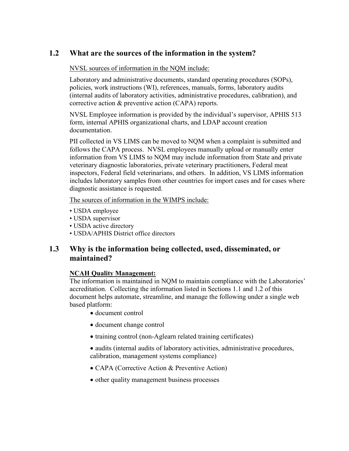# **1.2 What are the sources of the information in the system?**

#### NVSL sources of information in the NQM include:

Laboratory and administrative documents, standard operating procedures (SOPs), policies, work instructions (WI), references, manuals, forms, laboratory audits (internal audits of laboratory activities, administrative procedures, calibration), and corrective action & preventive action (CAPA) reports.

NVSL Employee information is provided by the individual's supervisor, APHIS 513 form, internal APHIS organizational charts, and LDAP account creation documentation.

PII collected in VS LIMS can be moved to NQM when a complaint is submitted and follows the CAPA process. NVSL employees manually upload or manually enter information from VS LIMS to NQM may include information from State and private veterinary diagnostic laboratories, private veterinary practitioners, Federal meat inspectors, Federal field veterinarians, and others. In addition, VS LIMS information includes laboratory samples from other countries for import cases and for cases where diagnostic assistance is requested.

The sources of information in the WIMPS include:

- USDA employee
- USDA supervisor
- USDA active directory
- USDA/APHIS District office directors

# **1.3 Why is the information being collected, used, disseminated, or maintained?**

#### **NCAH Quality Management:**

The information is maintained in NQM to maintain compliance with the Laboratories' accreditation. Collecting the information listed in Sections 1.1 and 1.2 of this document helps automate, streamline, and manage the following under a single web based platform:

- document control
- document change control
- training control (non-Aglearn related training certificates)
- audits (internal audits of laboratory activities, administrative procedures, calibration, management systems compliance)
- CAPA (Corrective Action & Preventive Action)
- other quality management business processes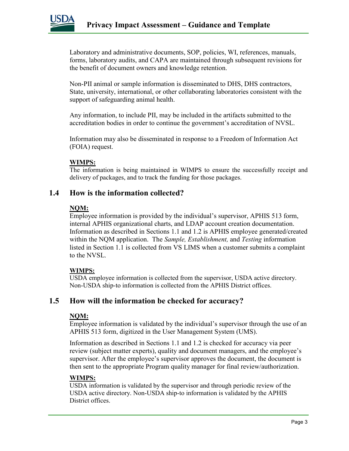

Laboratory and administrative documents, SOP, policies, WI, references, manuals, forms, laboratory audits, and CAPA are maintained through subsequent revisions for the benefit of document owners and knowledge retention.

Non-PII animal or sample information is disseminated to DHS, DHS contractors, State, university, international, or other collaborating laboratories consistent with the support of safeguarding animal health.

Any information, to include PII, may be included in the artifacts submitted to the accreditation bodies in order to continue the government's accreditation of NVSL.

Information may also be disseminated in response to a Freedom of Information Act (FOIA) request.

#### **WIMPS:**

The information is being maintained in WIMPS to ensure the successfully receipt and delivery of packages, and to track the funding for those packages.

# **1.4 How is the information collected?**

#### **NQM:**

Employee information is provided by the individual's supervisor, APHIS 513 form, internal APHIS organizational charts, and LDAP account creation documentation. Information as described in Sections 1.1 and 1.2 is APHIS employee generated/created within the NQM application. The *Sample, Establishment,* and *Testing* information listed in Section 1.1 is collected from VS LIMS when a customer submits a complaint to the NVSL.

#### **WIMPS:**

USDA employee information is collected from the supervisor, USDA active directory. Non-USDA ship-to information is collected from the APHIS District offices.

# **1.5 How will the information be checked for accuracy?**

#### **NQM:**

Employee information is validated by the individual's supervisor through the use of an APHIS 513 form, digitized in the User Management System (UMS).

Information as described in Sections 1.1 and 1.2 is checked for accuracy via peer review (subject matter experts), quality and document managers, and the employee's supervisor. After the employee's supervisor approves the document, the document is then sent to the appropriate Program quality manager for final review/authorization.

### **WIMPS:**

USDA information is validated by the supervisor and through periodic review of the USDA active directory. Non-USDA ship-to information is validated by the APHIS District offices.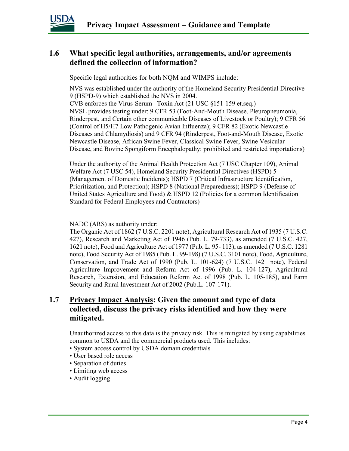

# **1.6 What specific legal authorities, arrangements, and/or agreements defined the collection of information?**

Specific legal authorities for both NQM and WIMPS include:

NVS was established under the authority of the Homeland Security Presidential Directive 9 (HSPD-9) which established the NVS in 2004.

CVB enforces the Virus-Serum –Toxin Act (21 USC §151-159 et.seq.) NVSL provides testing under: 9 CFR 53 (Foot-And-Mouth Disease, Pleuropneumonia, Rinderpest, and Certain other communicable Diseases of Livestock or Poultry); 9 CFR 56 (Control of H5/H7 Low Pathogenic Avian Influenza); 9 CFR 82 (Exotic Newcastle Diseases and Chlamydiosis) and 9 CFR 94 (Rinderpest, Foot-and-Mouth Disease, Exotic Newcastle Disease, African Swine Fever, Classical Swine Fever, Swine Vesicular Disease, and Bovine Spongiform Encephalopathy: prohibited and restricted importations)

Under the authority of the Animal Health Protection Act (7 USC Chapter 109), Animal Welfare Act (7 USC 54), Homeland Security Presidential Directives (HSPD) 5 (Management of Domestic Incidents); HSPD 7 (Critical Infrastructure Identification, Prioritization, and Protection); HSPD 8 (National Preparedness); HSPD 9 (Defense of United States Agriculture and Food) & HSPD 12 (Policies for a common Identification Standard for Federal Employees and Contractors)

NADC (ARS) as authority under:

The Organic Act of 1862 (7 U.S.C. 2201 note), Agricultural Research Act of 1935 (7 U.S.C. 427), Research and Marketing Act of 1946 (Pub. L. 79-733), as amended (7 U.S.C. 427, 1621 note), Food and Agriculture Act of 1977 (Pub. L. 95- 113), as amended (7 U.S.C. 1281 note), Food Security Act of 1985 (Pub. L. 99-198) (7 U.S.C. 3101 note), Food, Agriculture, Conservation, and Trade Act of 1990 (Pub. L. 101-624) (7 U.S.C. 1421 note), Federal Agriculture Improvement and Reform Act of 1996 (Pub. L. 104-127), Agricultural Research, Extension, and Education Reform Act of 1998 (Pub. L. 105-185), and Farm Security and Rural Investment Act of 2002 (Pub.L. 107-171).

# **1.7 Privacy Impact Analysis: Given the amount and type of data collected, discuss the privacy risks identified and how they were mitigated.**

Unauthorized access to this data is the privacy risk. This is mitigated by using capabilities common to USDA and the commercial products used. This includes:

- System access control by USDA domain credentials
- User based role access
- Separation of duties
- Limiting web access
- Audit logging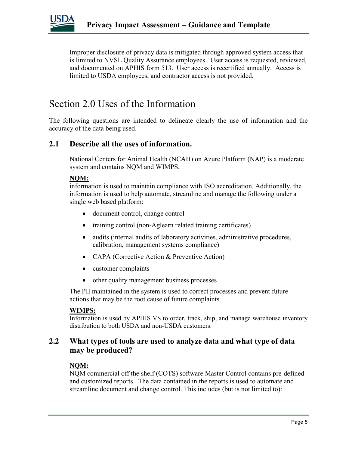

Improper disclosure of privacy data is mitigated through approved system access that is limited to NVSL Quality Assurance employees. User access is requested, reviewed, and documented on APHIS form 513. User access is recertified annually. Access is limited to USDA employees, and contractor access is not provided.

# Section 2.0 Uses of the Information

The following questions are intended to delineate clearly the use of information and the accuracy of the data being used.

## **2.1 Describe all the uses of information.**

National Centers for Animal Health (NCAH) on Azure Platform (NAP) is a moderate system and contains NQM and WIMPS.

#### **NQM:**

information is used to maintain compliance with ISO accreditation. Additionally, the information is used to help automate, streamline and manage the following under a single web based platform:

- document control, change control
- training control (non-Aglearn related training certificates)
- audits (internal audits of laboratory activities, administrative procedures, calibration, management systems compliance)
- CAPA (Corrective Action & Preventive Action)
- customer complaints
- other quality management business processes

The PII maintained in the system is used to correct processes and prevent future actions that may be the root cause of future complaints.

#### **WIMPS:**

Information is used by APHIS VS to order, track, ship, and manage warehouse inventory distribution to both USDA and non-USDA customers.

# **2.2 What types of tools are used to analyze data and what type of data may be produced?**

#### **NQM:**

NQM commercial off the shelf (COTS) software Master Control contains pre-defined and customized reports. The data contained in the reports is used to automate and streamline document and change control. This includes (but is not limited to):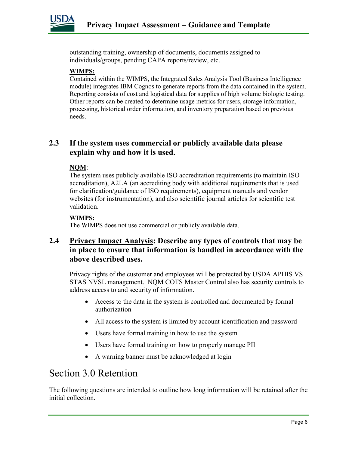

outstanding training, ownership of documents, documents assigned to individuals/groups, pending CAPA reports/review, etc.

#### **WIMPS:**

Contained within the WIMPS, the Integrated Sales Analysis Tool (Business Intelligence module) integrates IBM Cognos to generate reports from the data contained in the system. Reporting consists of cost and logistical data for supplies of high volume biologic testing. Other reports can be created to determine usage metrics for users, storage information, processing, historical order information, and inventory preparation based on previous needs.

# **2.3 If the system uses commercial or publicly available data please explain why and how it is used.**

#### **NQM**:

The system uses publicly available ISO accreditation requirements (to maintain ISO accreditation), A2LA (an accrediting body with additional requirements that is used for clarification/guidance of ISO requirements), equipment manuals and vendor websites (for instrumentation), and also scientific journal articles for scientific test validation.

#### **WIMPS:**

The WIMPS does not use commercial or publicly available data.

# **2.4 Privacy Impact Analysis: Describe any types of controls that may be in place to ensure that information is handled in accordance with the above described uses.**

Privacy rights of the customer and employees will be protected by USDA APHIS VS STAS NVSL management. NQM COTS Master Control also has security controls to address access to and security of information.

- Access to the data in the system is controlled and documented by formal authorization
- All access to the system is limited by account identification and password
- Users have formal training in how to use the system
- Users have formal training on how to properly manage PII
- A warning banner must be acknowledged at login

# Section 3.0 Retention

The following questions are intended to outline how long information will be retained after the initial collection.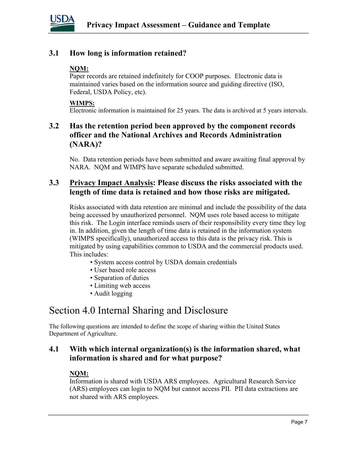

# **3.1 How long is information retained?**

#### **NQM:**

Paper records are retained indefinitely for COOP purposes. Electronic data is maintained varies based on the information source and guiding directive (ISO, Federal, USDA Policy, etc).

#### **WIMPS:**

Electronic information is maintained for 25 years. The data is archived at 5 years intervals.

# **3.2 Has the retention period been approved by the component records officer and the National Archives and Records Administration (NARA)?**

No. Data retention periods have been submitted and aware awaiting final approval by NARA. NQM and WIMPS have separate scheduled submitted.

# **3.3 Privacy Impact Analysis: Please discuss the risks associated with the length of time data is retained and how those risks are mitigated.**

Risks associated with data retention are minimal and include the possibility of the data being accessed by unauthorized personnel. NQM uses role based access to mitigate this risk. The Login interface reminds users of their responsibility every time they log in. In addition, given the length of time data is retained in the information system (WIMPS specifically), unauthorized access to this data is the privacy risk. This is mitigated by using capabilities common to USDA and the commercial products used. This includes:

- System access control by USDA domain credentials
- User based role access
- Separation of duties
- Limiting web access
- Audit logging

# Section 4.0 Internal Sharing and Disclosure

The following questions are intended to define the scope of sharing within the United States Department of Agriculture.

# **4.1 With which internal organization(s) is the information shared, what information is shared and for what purpose?**

### **NQM:**

Information is shared with USDA ARS employees. Agricultural Research Service (ARS) employees can login to NQM but cannot access PII. PII data extractions are not shared with ARS employees.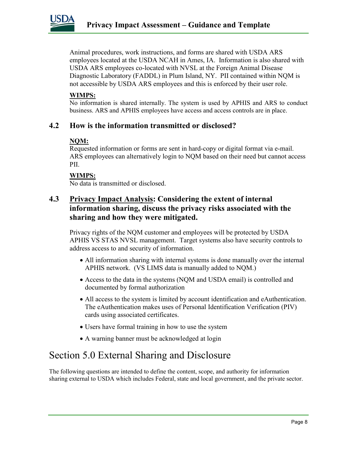

Animal procedures, work instructions, and forms are shared with USDA ARS employees located at the USDA NCAH in Ames, IA. Information is also shared with USDA ARS employees co-located with NVSL at the Foreign Animal Disease Diagnostic Laboratory (FADDL) in Plum Island, NY. PII contained within NQM is not accessible by USDA ARS employees and this is enforced by their user role.

#### **WIMPS:**

No information is shared internally. The system is used by APHIS and ARS to conduct business. ARS and APHIS employees have access and access controls are in place.

# **4.2 How is the information transmitted or disclosed?**

#### **NQM:**

Requested information or forms are sent in hard-copy or digital format via e-mail. ARS employees can alternatively login to NQM based on their need but cannot access PII.

#### **WIMPS:**

No data is transmitted or disclosed.

# **4.3 Privacy Impact Analysis: Considering the extent of internal information sharing, discuss the privacy risks associated with the sharing and how they were mitigated.**

Privacy rights of the NQM customer and employees will be protected by USDA APHIS VS STAS NVSL management. Target systems also have security controls to address access to and security of information.

- All information sharing with internal systems is done manually over the internal APHIS network. (VS LIMS data is manually added to NQM.)
- Access to the data in the systems (NQM and USDA email) is controlled and documented by formal authorization
- All access to the system is limited by account identification and eAuthentication. The eAuthentication makes uses of Personal Identification Verification (PIV) cards using associated certificates.
- Users have formal training in how to use the system
- A warning banner must be acknowledged at login

# Section 5.0 External Sharing and Disclosure

The following questions are intended to define the content, scope, and authority for information sharing external to USDA which includes Federal, state and local government, and the private sector.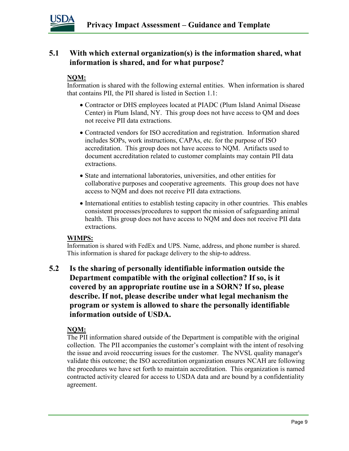

# **5.1 With which external organization(s) is the information shared, what information is shared, and for what purpose?**

#### **NQM:**

Information is shared with the following external entities. When information is shared that contains PII, the PII shared is listed in Section 1.1:

- Contractor or DHS employees located at PIADC (Plum Island Animal Disease Center) in Plum Island, NY. This group does not have access to QM and does not receive PII data extractions.
- Contracted vendors for ISO accreditation and registration. Information shared includes SOPs, work instructions, CAPAs, etc. for the purpose of ISO accreditation. This group does not have access to NQM. Artifacts used to document accreditation related to customer complaints may contain PII data extractions.
- State and international laboratories, universities, and other entities for collaborative purposes and cooperative agreements. This group does not have access to NQM and does not receive PII data extractions.
- International entities to establish testing capacity in other countries. This enables consistent processes/procedures to support the mission of safeguarding animal health. This group does not have access to NQM and does not receive PII data extractions.

#### **WIMPS:**

Information is shared with FedEx and UPS. Name, address, and phone number is shared. This information is shared for package delivery to the ship-to address.

**5.2 Is the sharing of personally identifiable information outside the Department compatible with the original collection? If so, is it covered by an appropriate routine use in a SORN? If so, please describe. If not, please describe under what legal mechanism the program or system is allowed to share the personally identifiable information outside of USDA.** 

### **NQM:**

The PII information shared outside of the Department is compatible with the original collection. The PII accompanies the customer's complaint with the intent of resolving the issue and avoid reoccurring issues for the customer. The NVSL quality manager's validate this outcome; the ISO accreditation organization ensures NCAH are following the procedures we have set forth to maintain accreditation. This organization is named contracted activity cleared for access to USDA data and are bound by a confidentiality agreement.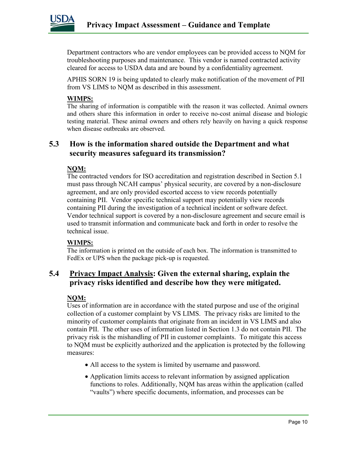

Department contractors who are vendor employees can be provided access to NQM for troubleshooting purposes and maintenance. This vendor is named contracted activity cleared for access to USDA data and are bound by a confidentiality agreement.

APHIS SORN 19 is being updated to clearly make notification of the movement of PII from VS LIMS to NQM as described in this assessment.

#### **WIMPS:**

The sharing of information is compatible with the reason it was collected. Animal owners and others share this information in order to receive no-cost animal disease and biologic testing material. These animal owners and others rely heavily on having a quick response when disease outbreaks are observed.

## **5.3 How is the information shared outside the Department and what security measures safeguard its transmission?**

#### **NQM:**

The contracted vendors for ISO accreditation and registration described in Section 5.1 must pass through NCAH campus' physical security, are covered by a non-disclosure agreement, and are only provided escorted access to view records potentially containing PII. Vendor specific technical support may potentially view records containing PII during the investigation of a technical incident or software defect. Vendor technical support is covered by a non-disclosure agreement and secure email is used to transmit information and communicate back and forth in order to resolve the technical issue.

### **WIMPS:**

The information is printed on the outside of each box. The information is transmitted to FedEx or UPS when the package pick-up is requested.

# **5.4 Privacy Impact Analysis: Given the external sharing, explain the privacy risks identified and describe how they were mitigated.**

#### **NQM:**

Uses of information are in accordance with the stated purpose and use of the original collection of a customer complaint by VS LIMS. The privacy risks are limited to the minority of customer complaints that originate from an incident in VS LIMS and also contain PII. The other uses of information listed in Section 1.3 do not contain PII. The privacy risk is the mishandling of PII in customer complaints. To mitigate this access to NQM must be explicitly authorized and the application is protected by the following measures:

- All access to the system is limited by username and password.
- Application limits access to relevant information by assigned application functions to roles. Additionally, NQM has areas within the application (called "vaults") where specific documents, information, and processes can be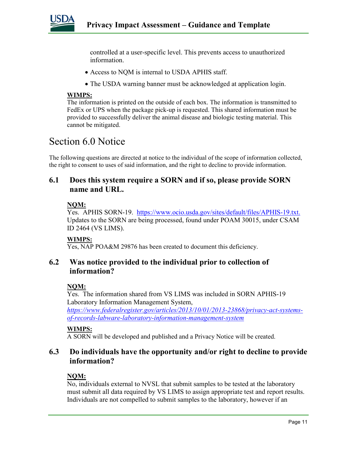

controlled at a user-specific level. This prevents access to unauthorized information.

- Access to NQM is internal to USDA APHIS staff.
- The USDA warning banner must be acknowledged at application login.

#### **WIMPS:**

The information is printed on the outside of each box. The information is transmitted to FedEx or UPS when the package pick-up is requested. This shared information must be provided to successfully deliver the animal disease and biologic testing material. This cannot be mitigated.

# Section 6.0 Notice

The following questions are directed at notice to the individual of the scope of information collected, the right to consent to uses of said information, and the right to decline to provide information.

# **6.1 Does this system require a SORN and if so, please provide SORN name and URL.**

#### **NQM:**

Yes. APHIS SORN-19. [https://www.ocio.usda.gov/sites/default/files/APHIS-19.txt.](https://www.ocio.usda.gov/sites/default/files/APHIS-19.txt) Updates to the SORN are being processed, found under POAM 30015, under CSAM ID 2464 (VS LIMS).

#### **WIMPS:**

Yes, NAP POA&M 29876 has been created to document this deficiency.

# **6.2 Was notice provided to the individual prior to collection of information?**

#### **NQM:**

Yes. The information shared from VS LIMS was included in SORN APHIS-19 Laboratory Information Management System,

*[https://www.federalregister.gov/articles/2013/10/01/2013-23868/privacy-act-systems](https://www.federalregister.gov/articles/2013/10/01/2013-23868/privacy-act-systems-of-records-labware-laboratory-information-management-system)[of-records-labware-laboratory-information-management-system](https://www.federalregister.gov/articles/2013/10/01/2013-23868/privacy-act-systems-of-records-labware-laboratory-information-management-system)*

#### **WIMPS:**

A SORN will be developed and published and a Privacy Notice will be created.

# **6.3 Do individuals have the opportunity and/or right to decline to provide information?**

### **NQM:**

No, individuals external to NVSL that submit samples to be tested at the laboratory must submit all data required by VS LIMS to assign appropriate test and report results. Individuals are not compelled to submit samples to the laboratory, however if an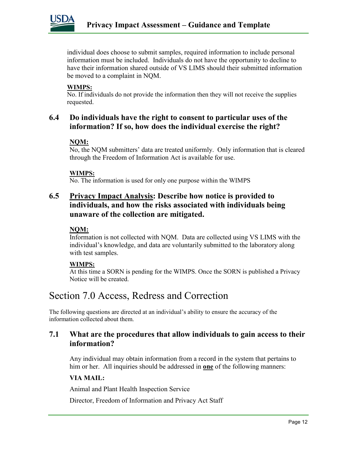

individual does choose to submit samples, required information to include personal information must be included. Individuals do not have the opportunity to decline to have their information shared outside of VS LIMS should their submitted information be moved to a complaint in NQM.

#### **WIMPS:**

No. If individuals do not provide the information then they will not receive the supplies requested.

# **6.4 Do individuals have the right to consent to particular uses of the information? If so, how does the individual exercise the right?**

#### **NQM:**

No, the NQM submitters' data are treated uniformly. Only information that is cleared through the Freedom of Information Act is available for use.

#### **WIMPS:**

No. The information is used for only one purpose within the WIMPS

# **6.5 Privacy Impact Analysis: Describe how notice is provided to individuals, and how the risks associated with individuals being unaware of the collection are mitigated.**

### **NQM:**

Information is not collected with NQM. Data are collected using VS LIMS with the individual's knowledge, and data are voluntarily submitted to the laboratory along with test samples.

#### **WIMPS:**

At this time a SORN is pending for the WIMPS. Once the SORN is published a Privacy Notice will be created.

# Section 7.0 Access, Redress and Correction

The following questions are directed at an individual's ability to ensure the accuracy of the information collected about them.

# **7.1 What are the procedures that allow individuals to gain access to their information?**

Any individual may obtain information from a record in the system that pertains to him or her. All inquiries should be addressed in **one** of the following manners:

### **VIA MAIL:**

Animal and Plant Health Inspection Service

Director, Freedom of Information and Privacy Act Staff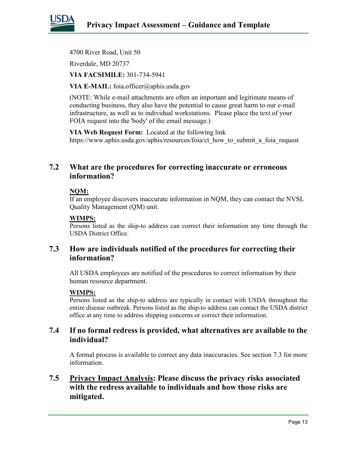

4700 River Road, Unit 50

Riverdale, MD 20737

**VIA FACSIMILE:** 301-734-5941

**VIA E-MAIL:** foia.officer@aphis.usda.gov

(NOTE: While e-mail attachments are often an important and legitimate means of conducting business, they also have the potential to cause great harm to our e-mail infrastructure, as well as to individual workstations. Please place the text of your FOIA request into the 'body' of the email message.)

**VIA Web Request Form:** Located at the following link https://www.aphis.usda.gov/aphis/resources/foia/ct\_how\_to\_submit\_a\_foia\_request

# **7.2 What are the procedures for correcting inaccurate or erroneous information?**

#### **NQM:**

If an employee discovers inaccurate information in NQM, they can contact the NVSL Quality Management (QM) unit.

#### **WIMPS:**

Persons listed as the ship-to address can correct their information any time through the USDA District Office.

# **7.3 How are individuals notified of the procedures for correcting their information?**

All USDA employees are notified of the procedures to correct information by their human resource department.

#### **WIMPS:**

Persons listed as the ship-to address are typically in contact with USDA throughout the entire disease outbreak. Persons listed as the ship-to address can contact the USDA district office at any time to address shipping concerns or correct their information.

# **7.4 If no formal redress is provided, what alternatives are available to the individual?**

A formal process is available to correct any data inaccuracies. See section 7.3 for more information.

# **7.5 Privacy Impact Analysis: Please discuss the privacy risks associated with the redress available to individuals and how those risks are mitigated.**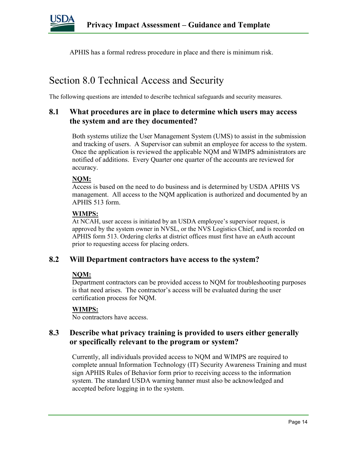

APHIS has a formal redress procedure in place and there is minimum risk.

# Section 8.0 Technical Access and Security

The following questions are intended to describe technical safeguards and security measures.

# **8.1 What procedures are in place to determine which users may access the system and are they documented?**

Both systems utilize the User Management System (UMS) to assist in the submission and tracking of users. A Supervisor can submit an employee for access to the system. Once the application is reviewed the applicable NQM and WIMPS administrators are notified of additions. Every Quarter one quarter of the accounts are reviewed for accuracy.

#### **NQM:**

Access is based on the need to do business and is determined by USDA APHIS VS management. All access to the NQM application is authorized and documented by an APHIS 513 form.

#### **WIMPS:**

At NCAH, user access is initiated by an USDA employee's supervisor request, is approved by the system owner in NVSL, or the NVS Logistics Chief, and is recorded on APHIS form 513. Ordering clerks at district offices must first have an eAuth account prior to requesting access for placing orders.

### **8.2 Will Department contractors have access to the system?**

#### **NQM:**

Department contractors can be provided access to NQM for troubleshooting purposes is that need arises. The contractor's access will be evaluated during the user certification process for NQM.

### **WIMPS:**

No contractors have access.

## **8.3 Describe what privacy training is provided to users either generally or specifically relevant to the program or system?**

Currently, all individuals provided access to NQM and WIMPS are required to complete annual Information Technology (IT) Security Awareness Training and must sign APHIS Rules of Behavior form prior to receiving access to the information system. The standard USDA warning banner must also be acknowledged and accepted before logging in to the system.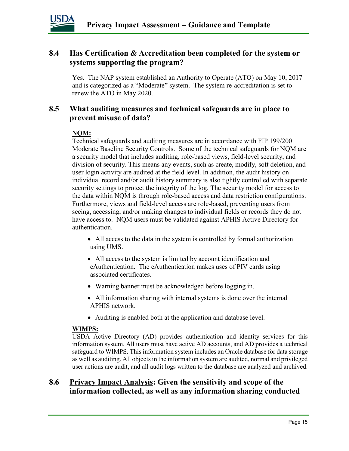

# **8.4 Has Certification & Accreditation been completed for the system or systems supporting the program?**

Yes. The NAP system established an Authority to Operate (ATO) on May 10, 2017 and is categorized as a "Moderate" system. The system re-accreditation is set to renew the ATO in May 2020.

# **8.5 What auditing measures and technical safeguards are in place to prevent misuse of data?**

### **NQM:**

Technical safeguards and auditing measures are in accordance with FIP 199/200 Moderate Baseline Security Controls. Some of the technical safeguards for NQM are a security model that includes auditing, role-based views, field-level security, and division of security. This means any events, such as create, modify, soft deletion, and user login activity are audited at the field level. In addition, the audit history on individual record and/or audit history summary is also tightly controlled with separate security settings to protect the integrity of the log. The security model for access to the data within NQM is through role-based access and data restriction configurations. Furthermore, views and field-level access are role-based, preventing users from seeing, accessing, and/or making changes to individual fields or records they do not have access to. NQM users must be validated against APHIS Active Directory for authentication.

- All access to the data in the system is controlled by formal authorization using UMS.
- All access to the system is limited by account identification and eAuthentication. The eAuthentication makes uses of PIV cards using associated certificates.
- Warning banner must be acknowledged before logging in.
- All information sharing with internal systems is done over the internal APHIS network.
- Auditing is enabled both at the application and database level.

#### **WIMPS:**

USDA Active Directory (AD) provides authentication and identity services for this information system. All users must have active AD accounts, and AD provides a technical safeguard to WIMPS. This information system includes an Oracle database for data storage as well as auditing. All objects in the information system are audited, normal and privileged user actions are audit, and all audit logs written to the database are analyzed and archived.

# **8.6 Privacy Impact Analysis: Given the sensitivity and scope of the information collected, as well as any information sharing conducted**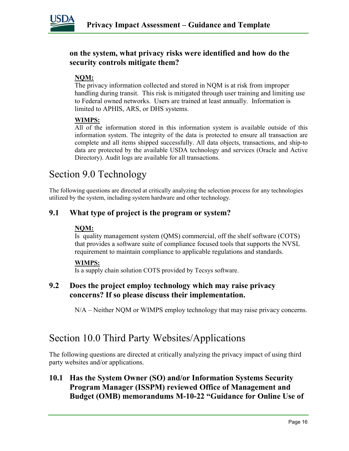

# **on the system, what privacy risks were identified and how do the security controls mitigate them?**

# **NQM:**

The privacy information collected and stored in NQM is at risk from improper handling during transit. This risk is mitigated through user training and limiting use to Federal owned networks. Users are trained at least annually. Information is limited to APHIS, ARS, or DHS systems.

#### **WIMPS:**

All of the information stored in this information system is available outside of this information system. The integrity of the data is protected to ensure all transaction are complete and all items shipped successfully. All data objects, transactions, and ship-to data are protected by the available USDA technology and services (Oracle and Active Directory). Audit logs are available for all transactions.

# Section 9.0 Technology

The following questions are directed at critically analyzing the selection process for any technologies utilized by the system, including system hardware and other technology.

# **9.1 What type of project is the program or system?**

### **NQM:**

Is quality management system (QMS) commercial, off the shelf software (COTS) that provides a software suite of compliance focused tools that supports the NVSL requirement to maintain compliance to applicable regulations and standards.

#### **WIMPS:**

Is a supply chain solution COTS provided by Tecsys software.

## **9.2 Does the project employ technology which may raise privacy concerns? If so please discuss their implementation.**

N/A – Neither NQM or WIMPS employ technology that may raise privacy concerns.

# Section 10.0 Third Party Websites/Applications

The following questions are directed at critically analyzing the privacy impact of using third party websites and/or applications.

# **10.1 Has the System Owner (SO) and/or Information Systems Security Program Manager (ISSPM) reviewed Office of Management and Budget (OMB) memorandums M-10-22 "Guidance for Online Use of**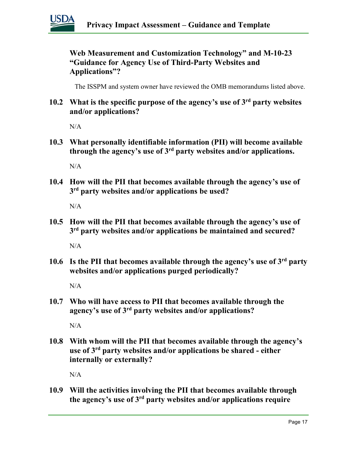

**Web Measurement and Customization Technology" and M-10-23 "Guidance for Agency Use of Third-Party Websites and Applications"?**

The ISSPM and system owner have reviewed the OMB memorandums listed above.

**10.2 What is the specific purpose of the agency's use of 3rd party websites and/or applications?**

N/A

**10.3 What personally identifiable information (PII) will become available through the agency's use of 3rd party websites and/or applications.**

 $N/A$ 

**10.4 How will the PII that becomes available through the agency's use of 3rd party websites and/or applications be used?**

N/A

**10.5 How will the PII that becomes available through the agency's use of 3rd party websites and/or applications be maintained and secured?**

N/A

**10.6 Is the PII that becomes available through the agency's use of 3rd party websites and/or applications purged periodically?** 

 $N/A$ 

**10.7 Who will have access to PII that becomes available through the agency's use of 3rd party websites and/or applications?**

N/A

**10.8 With whom will the PII that becomes available through the agency's use of 3rd party websites and/or applications be shared - either internally or externally?**

N/A

**10.9 Will the activities involving the PII that becomes available through the agency's use of 3rd party websites and/or applications require**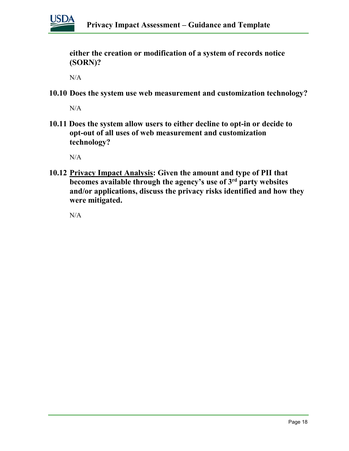

**either the creation or modification of a system of records notice (SORN)?**

N/A

**10.10 Does the system use web measurement and customization technology?**

N/A

**10.11 Does the system allow users to either decline to opt-in or decide to opt-out of all uses of web measurement and customization technology?**

N/A

**10.12 Privacy Impact Analysis: Given the amount and type of PII that becomes available through the agency's use of 3rd party websites and/or applications, discuss the privacy risks identified and how they were mitigated.** 

 $N/A$